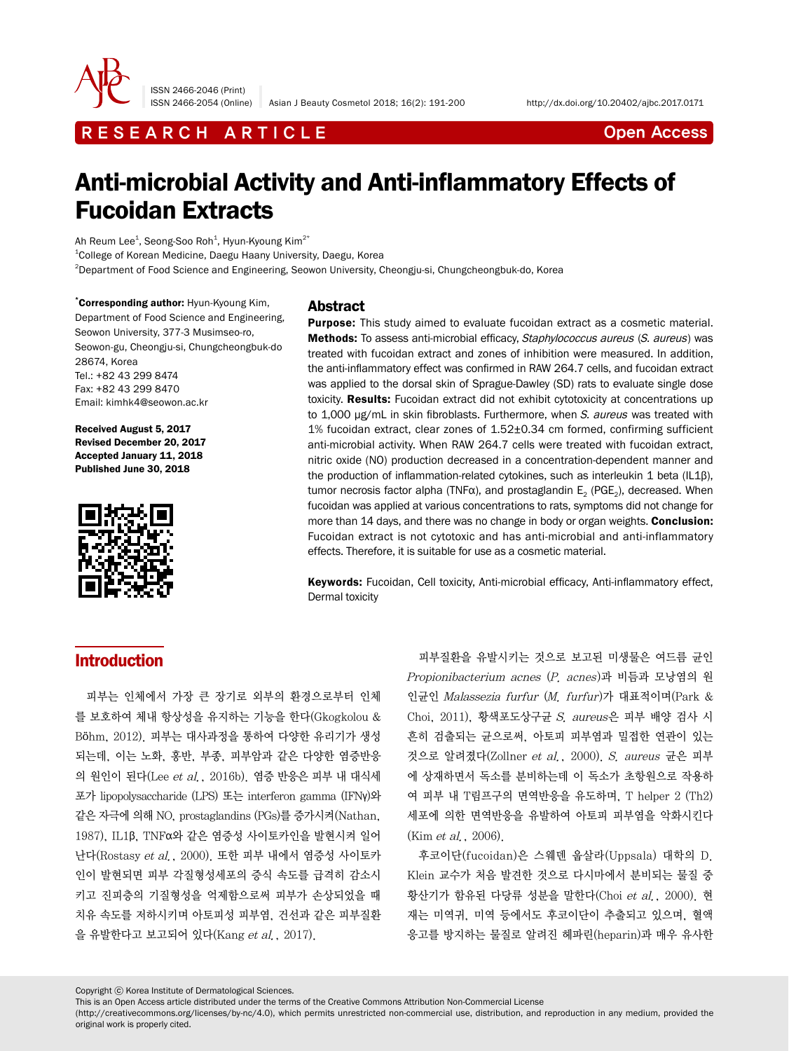

ISSN 2466-2046 (Print)

ISSN 2466-2054 (Online) Asian J Beauty Cosmetol 2018; 16(2): 191-200 http://dx.doi.org/10.20402/ajbc.2017.0171

# R E S E A R C H A R T I C L E CHE COME CONTROLLER CONTROLLER CONTROLLER CONTROLLER CONTROLLER CONTROLLER CONTROLLER CONTROLLER CONTROLLER CONTROLLER CONTROLLER CONTROLLER CONTROLLER CONTROLLER CONTROLLER CONTROLLER CONTROL

# Anti-microbial Activity and Anti-inflammatory Effects of Fucoidan Extracts

Ah Reum Lee $^{\rm 1}$ , Seong-Soo Roh $^{\rm 1}$ , Hyun-Kyoung Kim $^{\rm 2^{\ast}}$ 

1 College of Korean Medicine, Daegu Haany University, Daegu, Korea

2 Department of Food Science and Engineering, Seowon University, Cheongju-si, Chungcheongbuk-do, Korea

\* Corresponding author: Hyun-Kyoung Kim, Department of Food Science and Engineering, Seowon University, 377-3 Musimseo-ro, Seowon-gu, Cheongju-si, Chungcheongbuk-do 28674, Korea Tel.: +82 43 299 8474 Fax: +82 43 299 8470 Email: kimhk4@seowon.ac.kr

Received August 5, 2017 Revised December 20, 2017 Accepted January 11, 2018 Published June 30, 2018



# Abstract

**Purpose:** This study aimed to evaluate fucoidan extract as a cosmetic material. Methods: To assess anti-microbial efficacy, Staphylococcus aureus (S. aureus) was treated with fucoidan extract and zones of inhibition were measured. In addition, the anti-inflammatory effect was confirmed in RAW 264.7 cells, and fucoidan extract was applied to the dorsal skin of Sprague-Dawley (SD) rats to evaluate single dose toxicity. Results: Fucoidan extract did not exhibit cytotoxicity at concentrations up to 1,000 μg/mL in skin fibroblasts. Furthermore, when S. aureus was treated with 1% fucoidan extract, clear zones of 1.52±0.34 cm formed, confirming sufficient anti-microbial activity. When RAW 264.7 cells were treated with fucoidan extract, nitric oxide (NO) production decreased in a concentration-dependent manner and the production of inflammation-related cytokines, such as interleukin 1 beta (IL1β), tumor necrosis factor alpha (TNF $\alpha$ ), and prostaglandin E<sub>2</sub> (PGE<sub>2</sub>), decreased. When fucoidan was applied at various concentrations to rats, symptoms did not change for more than 14 days, and there was no change in body or organ weights. Conclusion: Fucoidan extract is not cytotoxic and has anti-microbial and anti-inflammatory effects. Therefore, it is suitable for use as a cosmetic material.

Keywords: Fucoidan, Cell toxicity, Anti-microbial efficacy, Anti-inflammatory effect, Dermal toxicity

# Introduction

피부는 인체에서 가장 큰 장기로 외부의 환경으로부터 인체 를 보호하여 체내 항상성을 유지하는 기능을 한다(Gkogkolou & Böhm, 2012). 피부는 대사과정을 통하여 다양한 유리기가 생성 되는데, 이는 노화, 홍반, 부종, 피부암과 같은 다양한 염증반응 의 원인이 된다(Lee et al., 2016b). 염증 반응은 피부 내 대식세 포가 lipopolysaccharide (LPS) 또는 interferon gamma (IFNγ)와 같은 자극에 의해 NO, prostaglandins (PGs)를 증가시켜(Nathan, 1987), IL1β, TNFα와 같은 염증성 사이토카인을 발현시켜 일어 난다(Rostasy et al., 2000). 또한 피부 내에서 염증성 사이토카 인이 발현되면 피부 각질형성세포의 증식 속도를 급격히 감소시 키고 진피층의 기질형성을 억제함으로써 피부가 손상되었을 때 치유 속도를 저하시키며 아토피성 피부염, 건선과 같은 피부질환 을 유발한다고 보고되어 있다(Kang et al., 2017).

피부질환을 유발시키는 것으로 보고된 미생물은 여드름 균인 Propionibacterium acnes (P. acnes)과 비듬과 모낭염의 원 인균인 Malassezia furfur (M. furfur)가 대표적이며(Park & Choi, 2011), 황색포도상구균 S. aureus은 피부 배양 검사 시 흔히 검출되는 균으로써, 아토피 피부염과 밀접한 연관이 있는 것으로 알려졌다(Zollner et al., 2000). S. aureus 균은 피부 에 상재하면서 독소를 분비하는데 이 독소가 초항원으로 작용하 여 피부 내 T림프구의 면역반응을 유도하며, T helper 2 (Th2) 세포에 의한 면역반응을 유발하여 아토피 피부염을 악화시킨다 (Kim *et al.*, 2006).

후코이단(fucoidan)은 스웨덴 웁살라(Uppsala) 대학의 D. Klein 교수가 처음 발견한 것으로 다시마에서 분비되는 물질 중 황산기가 함유된 다당류 성분을 말한다(Choi et al., 2000). 현 재는 미역귀, 미역 등에서도 후코이단이 추출되고 있으며, 혈액 응고를 방지하는 물질로 알려진 헤파린(heparin)과 매우 유사한

Copyright ⓒ Korea Institute of Dermatological Sciences.

This is an Open Access article distributed under the terms of the Creative Commons Attribution Non-Commercial License

(http://creativecommons.org/licenses/by-nc/4.0), which permits unrestricted non-commercial use, distribution, and reproduction in any medium, provided the original work is properly cited.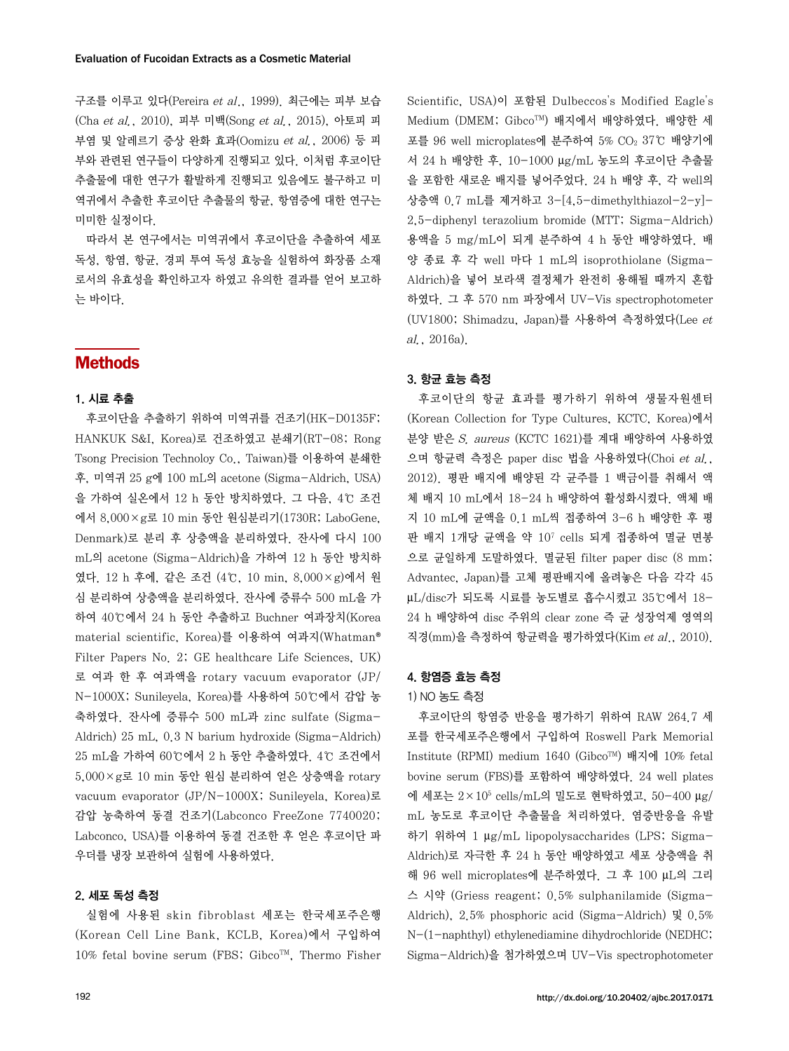구조를 이루고 있다(Pereira et al., 1999). 최근에는 피부 보습 (Cha et al., 2010), 피부 미백(Song et al., 2015), 아토피 피 부염 및 알레르기 증상 완화 효과(Oomizu et al., 2006) 등 피 부와 관련된 연구들이 다양하게 진행되고 있다. 이처럼 후코이단 추출물에 대한 연구가 활발하게 진행되고 있음에도 불구하고 미 역귀에서 추출한 후코이단 추출물의 항균, 항염증에 대한 연구는 미미한 실정이다.

따라서 본 연구에서는 미역귀에서 후코이단을 추출하여 세포 독성, 항염, 항균, 경피 투여 독성 효능을 실험하여 화장품 소재 로서의 유효성을 확인하고자 하였고 유의한 결과를 얻어 보고하 는 바이다.

# Methods

#### 1. 시료 추출

후코이단을 추출하기 위하여 미역귀를 건조기(HK-D0135F; HANKUK S&I, Korea)로 건조하였고 분쇄기(RT-08; Rong Tsong Precision Technoloy Co., Taiwan)를 이용하여 분쇄한 후, 미역귀 25 g에 100 mL의 acetone (Sigma-Aldrich, USA) 을 가하여 실온에서 12 h 동안 방치하였다. 그 다음, 4℃ 조건 에서 8,000×g로 10 min 동안 원심분리기(1730R; LaboGene, Denmark)로 분리 후 상층액을 분리하였다. 잔사에 다시 100 mL의 acetone (Sigma-Aldrich)을 가하여 12 h 동안 방치하 였다. 12 h 후에, 같은 조건 (4℃, 10 min, 8,000×g)에서 원 심 분리하여 상층액을 분리하였다. 잔사에 증류수 500 mL을 가 하여 40℃에서 24 h 동안 추출하고 Buchner 여과장치(Korea material scientific, Korea)를 이용하여 여과지(Whatman® Filter Papers No. 2; GE healthcare Life Sciences, UK) 로 여과 한 후 여과액을 rotary vacuum evaporator (JP/ N-1000X; Sunileyela, Korea)를 사용하여 50℃에서 감압 농 축하였다. 잔사에 증류수 500 mL과 zinc sulfate (Sigma-Aldrich) 25 mL, 0.3 N barium hydroxide (Sigma-Aldrich) 25 mL을 가하여 60℃에서 2 h 동안 추출하였다. 4℃ 조건에서 5,000×g로 10 min 동안 원심 분리하여 얻은 상층액을 rotary vacuum evaporator (JP/N-1000X; Sunileyela, Korea)로 감압 농축하여 동결 건조기(Labconco FreeZone 7740020; Labconco, USA)를 이용하여 동결 건조한 후 얻은 후코이단 파 우더를 냉장 보관하여 실험에 사용하였다.

# 2. 세포 독성 측정

실험에 사용된 skin fibroblast 세포는 한국세포주은행 (Korean Cell Line Bank, KCLB, Korea)에서 구입하여 10% fetal bovine serum (FBS; Gibco<sup>TM</sup>, Thermo Fisher

Scientific, USA)이 포함된 Dulbeccos's Modified Eagle's Medium (DMEM; GibcoTM) 배지에서 배양하였다. 배양한 세 포를 96 well microplates에 분주하여 5% CO2 37℃ 배양기에 서 24 h 배양한 후, 10-1000 μg/mL 농도의 후코이단 추출물 을 포함한 새로운 배지를 넣어주었다. 24 h 배양 후, 각 well의 상층액 0.7 mL를 제거하고 3-[4,5-dimethylthiazol-2-y]- 2,5-diphenyl terazolium bromide (MTT; Sigma-Aldrich) 용액을 5 mg/mL이 되게 분주하여 4 h 동안 배양하였다. 배 양 종료 후 각 well 마다 1 mL의 isoprothiolane (Sigma-Aldrich)을 넣어 보라색 결정체가 완전히 용해될 때까지 혼합 하였다. 그 후 570 nm 파장에서 UV-Vis spectrophotometer (UV1800; Shimadzu, Japan)를 사용하여 측정하였다(Lee et al., 2016a).

# 3. 항균 효능 측정

후코이단의 항균 효과를 평가하기 위하여 생물자원센터 (Korean Collection for Type Cultures, KCTC, Korea)에서 분양 받은 S. aureus (KCTC 1621)를 계대 배양하여 사용하였 으며 항균력 측정은 paper disc 법을 사용하였다(Choi et al., 2012). 평판 배지에 배양된 각 균주를 1 백금이를 취해서 액 체 배지 10 mL에서 18-24 h 배양하여 활성화시켰다. 액체 배 지 10 mL에 균액을 0.1 mL씩 접종하여 3-6 h 배양한 후 평 판 배지 1개당 균액을 약 107 cells 되게 접종하여 멸균 면봉 으로 균일하게 도말하였다. 멸균된 filter paper disc (8 mm; Advantec, Japan)를 고체 평판배지에 올려놓은 다음 각각 45 μL/disc가 되도록 시료를 농도별로 흡수시켰고 35℃에서 18- 24 h 배양하여 disc 주위의 clear zone 즉 균 성장억제 영역의 직경(mm)을 측정하여 항균력을 평가하였다(Kim et al., 2010).

### 4. 항염증 효능 측정

#### 1) NO 농도 측정

후코이단의 항염증 반응을 평가하기 위하여 RAW 264.7 세 포를 한국세포주은행에서 구입하여 Roswell Park Memorial Institute (RPMI) medium 1640 (GibcoTM) 배지에 10% fetal bovine serum (FBS)를 포함하여 배양하였다. 24 well plates 에 세포는 2×105 cells/mL의 밀도로 현탁하였고, 50-400 μg/ mL 농도로 후코이단 추출물을 처리하였다. 염증반응을 유발 하기 위하여 1 μg/mL lipopolysaccharides (LPS; Sigma-Aldrich)로 자극한 후 24 h 동안 배양하였고 세포 상층액을 취 해 96 well microplates에 분주하였다. 그 후 100 μL의 그리 스 시약 (Griess reagent; 0.5% sulphanilamide (Sigma-Aldrich), 2.5% phosphoric acid (Sigma-Aldrich) 및 0.5% N-(1-naphthyl) ethylenediamine dihydrochloride (NEDHC; Sigma-Aldrich)을 첨가하였으며 UV-Vis spectrophotometer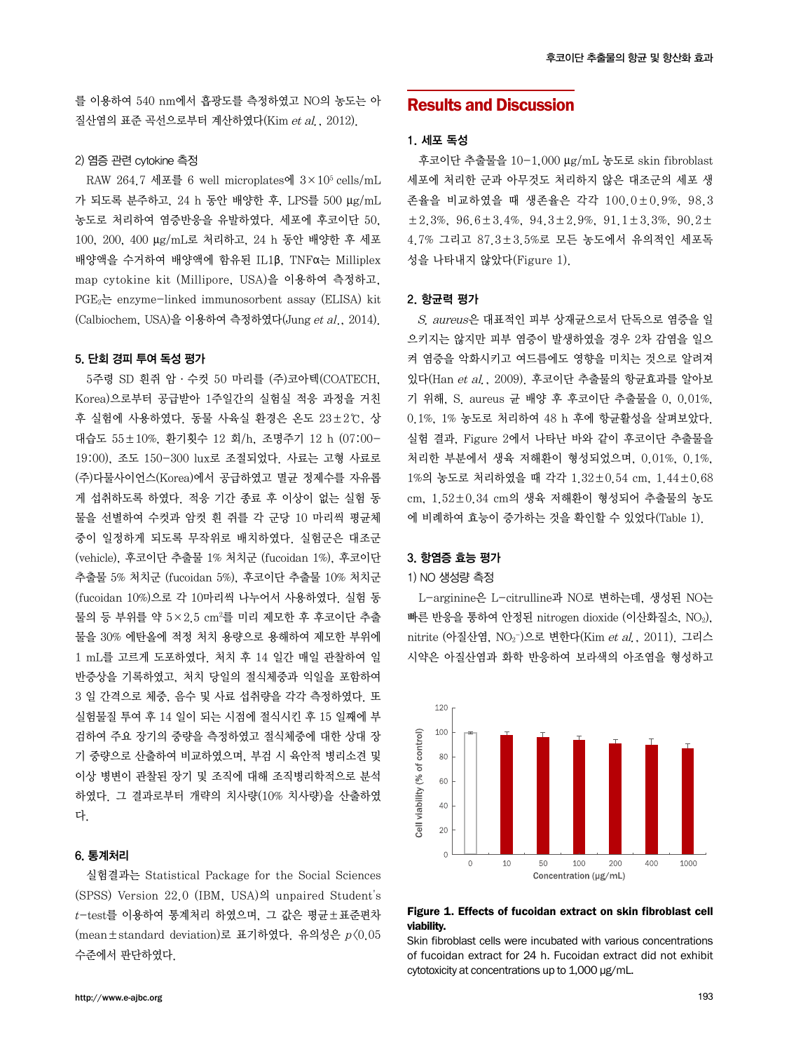를 이용하여 540 nm에서 흡광도를 측정하였고 NO의 농도는 아 질산염의 표준 곡선으로부터 계산하였다(Kim et al., 2012).

#### 2) 염증 관련 cytokine 측정

RAW 264.7 세포를 6 well microplates에 3×105 cells/mL 가 되도록 분주하고, 24 h 동안 배양한 후, LPS를 500 μg/mL 농도로 처리하여 염증반응을 유발하였다. 세포에 후코이단 50, 100, 200, 400 μg/mL로 처리하고, 24 h 동안 배양한 후 세포 배양액을 수거하여 배양액에 함유된 IL1β, TNFα는 Milliplex map cytokine kit (Millipore, USA)을 이용하여 측정하고, PGE2는 enzyme-linked immunosorbent assay (ELISA) kit (Calbiochem, USA)을 이용하여 측정하였다(Jung et al., 2014).

### 5. 단회 경피 투여 독성 평가

5주령 SD 흰쥐 암·수컷 50 마리를 (주)코아텍(COATECH, Korea)으로부터 공급받아 1주일간의 실험실 적응 과정을 거친 후 실험에 사용하였다. 동물 사육실 환경은 온도 23±2℃, 상 대습도 55±10%, 환기횟수 12 회/h, 조명주기 12 h (07:00- 19:00), 조도 150-300 lux로 조절되었다. 사료는 고형 사료로 (주)다물사이언스(Korea)에서 공급하였고 멸균 정제수를 자유롭 게 섭취하도록 하였다. 적응 기간 종료 후 이상이 없는 실험 동 물을 선별하여 수컷과 암컷 흰 쥐를 각 군당 10 마리씩 평균체 중이 일정하게 되도록 무작위로 배치하였다. 실험군은 대조군 (vehicle), 후코이단 추출물 1% 처치군 (fucoidan 1%), 후코이단 추출물 5% 처치군 (fucoidan 5%), 후코이단 추출물 10% 처치군 (fucoidan 10%)으로 각 10마리씩 나누어서 사용하였다. 실험 동 물의 등 부위를 약 5×2.5 cm²를 미리 제모한 후 후코이단 추출 물을 30% 에탄올에 적정 처치 용량으로 용해하여 제모한 부위에 1 mL를 고르게 도포하였다. 처치 후 14 일간 매일 관찰하여 일 반증상을 기록하였고, 처치 당일의 절식체중과 익일을 포함하여 3 일 간격으로 체중, 음수 및 사료 섭취량을 각각 측정하였다. 또 실험물질 투여 후 14 일이 되는 시점에 절식시킨 후 15 일째에 부 검하여 주요 장기의 중량을 측정하였고 절식체중에 대한 상대 장 기 중량으로 산출하여 비교하였으며, 부검 시 육안적 병리소견 및 이상 병변이 관찰된 장기 및 조직에 대해 조직병리학적으로 분석 하였다. 그 결과로부터 개략의 치사량(10% 치사량)을 산출하였 다.

# 6. 통계처리

실험결과는 Statistical Package for the Social Sciences (SPSS) Version 22.0 (IBM, USA)의 unpaired Student's  $t$ -test를 이용하여 통계처리 하였으며, 그 값은 평균±표준편차 (mean±standard deviation)로 표기하였다. 유의성은 p<0.05 수준에서 판단하였다.

# Results and Discussion

# 1. 세포 독성

후코이단 추출물을 10-1,000 μg/mL 농도로 skin fibroblast 세포에 처리한 군과 아무것도 처리하지 않은 대조군의 세포 생 존율을 비교하였을 때 생존율은 각각 100.0±0.9%, 98.3 ±2.3%, 96.6±3.4%, 94.3±2.9%, 91.1±3.3%, 90.2± 4.7% 그리고 87.3±3.5%로 모든 농도에서 유의적인 세포독 성을 나타내지 않았다(Figure 1).

#### 2. 항균력 평가

S. aureus은 대표적인 피부 상재균으로서 단독으로 염증을 일 으키지는 않지만 피부 염증이 발생하였을 경우 2차 감염을 일으 켜 염증을 악화시키고 여드름에도 영향을 미치는 것으로 알려져 있다(Han et al., 2009). 후코이단 추출물의 항균효과를 알아보 기 위해, S. aureus 균 배양 후 후코이단 추출물을 0, 0.01%, 0.1%, 1% 농도로 처리하여 48 h 후에 항균활성을 살펴보았다. 실험 결과, Figure 2에서 나타난 바와 같이 후코이단 추출물을 처리한 부분에서 생육 저해환이 형성되었으며, 0.01%, 0.1%, 1%의 농도로 처리하였을 때 각각 1.32±0.54 cm, 1.44±0.68 cm, 1.52±0.34 cm의 생육 저해환이 형성되어 추출물의 농도 에 비례하여 효능이 증가하는 것을 확인할 수 있었다(Table 1).

### 3. 항염증 효능 평가

#### 1) NO 생성량 측정

L-arginine은 L-citrulline과 NO로 변하는데, 생성된 NO는 빠른 반응을 통하여 안정된 nitrogen dioxide (이산화질소, NO2), nitrite (아질산염, NO2¯)으로 변한다(Kim *et al.*, 2011). 그리스 시약은 아질산염과 화학 반응하여 보라색의 아조염을 형성하고



#### Figure 1. Effects of fucoidan extract on skin fibroblast cell viability.

Skin fibroblast cells were incubated with various concentrations of fucoidan extract for 24 h. Fucoidan extract did not exhibit cytotoxicity at concentrations up to 1,000 μg/mL.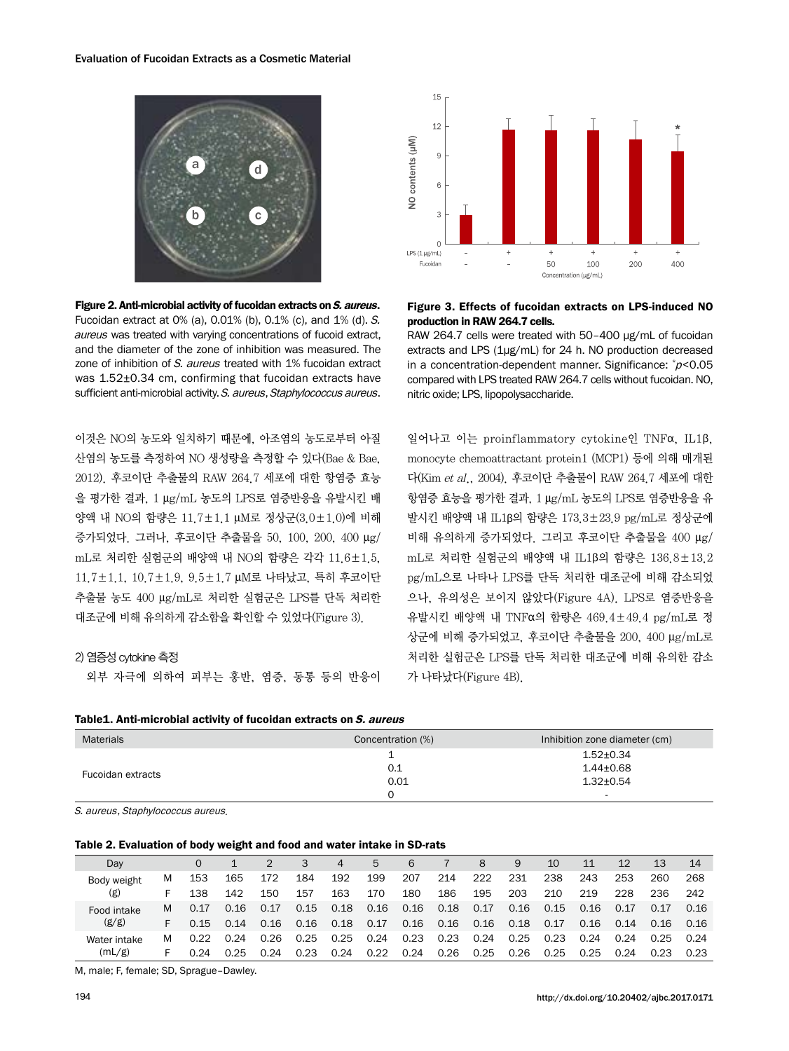

Figure 2. Anti-microbial activity of fucoidan extracts on S. aureus. Fucoidan extract at 0% (a), 0.01% (b), 0.1% (c), and 1% (d). S. aureus was treated with varying concentrations of fucoid extract, and the diameter of the zone of inhibition was measured. The zone of inhibition of S. aureus treated with 1% fucoidan extract was 1.52±0.34 cm, confirming that fucoidan extracts have sufficient anti-microbial activity. S. aureus, Staphylococcus aureus.

이것은 NO의 농도와 일치하기 때문에, 아조염의 농도로부터 아질 산염의 농도를 측정하여 NO 생성량을 측정할 수 있다(Bae & Bae, 2012). 후코이단 추출물의 RAW 264.7 세포에 대한 항염증 효능 을 평가한 결과, 1 μg/mL 농도의 LPS로 염증반응을 유발시킨 배 양액 내 NO의 함량은 11.7±1.1 μM로 정상군(3.0±1.0)에 비해 증가되었다. 그러나, 후코이단 추출물을 50, 100, 200, 400 μg/ mL로 처리한 실험군의 배양액 내 NO의 함량은 각각 11.6±1.5, 11.7±1.1, 10.7±1.9, 9.5±1.7 μM로 나타났고, 특히 후코이단 추출물 농도 400 μg/mL로 처리한 실험군은 LPS를 단독 처리한 대조군에 비해 유의하게 감소함을 확인할 수 있었다(Figure 3).

# 2) 염증성 cytokine 측정

외부 자극에 의하여 피부는 홍반, 염증, 동통 등의 반응이

Table1. Anti-microbial activity of fucoidan extracts on S. aureus



### Figure 3. Effects of fucoidan extracts on LPS-induced NO production in RAW 264.7 cells.

RAW 264.7 cells were treated with 50–400 μg/mL of fucoidan extracts and LPS (1μg/mL) for 24 h. NO production decreased in a concentration-dependent manner. Significance: \* <sup>p</sup><0.05 compared with LPS treated RAW 264.7 cells without fucoidan. NO, nitric oxide; LPS, lipopolysaccharide.

일어나고 이는 proinflammatory cytokine인 TNFα, IL1β, monocyte chemoattractant protein1 (MCP1) 등에 의해 매개된 다(Kim et al., 2004). 후코이단 추출물이 RAW 264.7 세포에 대한 항염증 효능을 평가한 결과, 1 μg/mL 농도의 LPS로 염증반응을 유 발시킨 배양액 내 IL1β의 함량은 173.3±23.9 pg/mL로 정상군에 비해 유의하게 증가되었다. 그리고 후코이단 추출물을 400 μg/ mL로 처리한 실험군의 배양액 내 IL1β의 함량은 136.8±13.2 pg/mL으로 나타나 LPS를 단독 처리한 대조군에 비해 감소되었 으나, 유의성은 보이지 않았다(Figure 4A). LPS로 염증반응을 유발시킨 배양액 내 TNFα의 함량은 469.4±49.4 pg/mL로 정 상군에 비해 증가되었고, 후코이단 추출물을 200, 400 μg/mL로 처리한 실험군은 LPS를 단독 처리한 대조군에 비해 유의한 감소 가 나타났다(Figure 4B).

| <b>Materials</b>  | Concentration (%) | Inhibition zone diameter (cm) |
|-------------------|-------------------|-------------------------------|
|                   |                   | $1.52 \pm 0.34$               |
| Fucoidan extracts | 0.1               | $1.44 \pm 0.68$               |
|                   | 0.01              | $1.32 \pm 0.54$               |
|                   |                   | $\overline{\phantom{0}}$      |

S. aureus, Staphylococcus aureus.

#### Table 2. Evaluation of body weight and food and water intake in SD-rats

| Day          |    |      |      |      |      | 4    | 5    | 6    |      | 8    | 9    | 10   | 11   | 12   | 13   | 14   |
|--------------|----|------|------|------|------|------|------|------|------|------|------|------|------|------|------|------|
| Body weight  | М  | 153  | 165  | 172  | 184  | 192  | 199  | 207  | 214  | 222  | 231  | 238  | 243  | 253  | 260  | 268  |
| (g)          | F. | 138  | 142  | 150  | 157  | 163  | 170  | 180  | 186  | 195  | 203  | 210  | 219  | 228  | 236  | 242  |
| Food intake  | м  | 0.17 | 0.16 | 0.17 | 0.15 | 0.18 | 0.16 | 0.16 | 0.18 | 0.17 | 0.16 | 0.15 | 0.16 | 0.17 | 0.17 | 0.16 |
| (g/g)        | F. | 0.15 | 0.14 | 0.16 | 0.16 | 0.18 | 0.17 | 0.16 | 0.16 | 0.16 | 0.18 | 0.17 | 0.16 | 0.14 | 0.16 | 0.16 |
| Water intake | м  | 0.22 | 0.24 | 0.26 | 0.25 | 0.25 | 0.24 | 0.23 | 0.23 | 0.24 | 0.25 | 0.23 | 0.24 | 0.24 | 0.25 | 0.24 |
| (mL/g)       | ь. | 0.24 | 0.25 | 0.24 | 0.23 | 0.24 | 0.22 | 0.24 | 0.26 | 0.25 | 0.26 | 0.25 | 0.25 | 0.24 | 0.23 | 0.23 |

M, male; F, female; SD, Sprague–Dawley.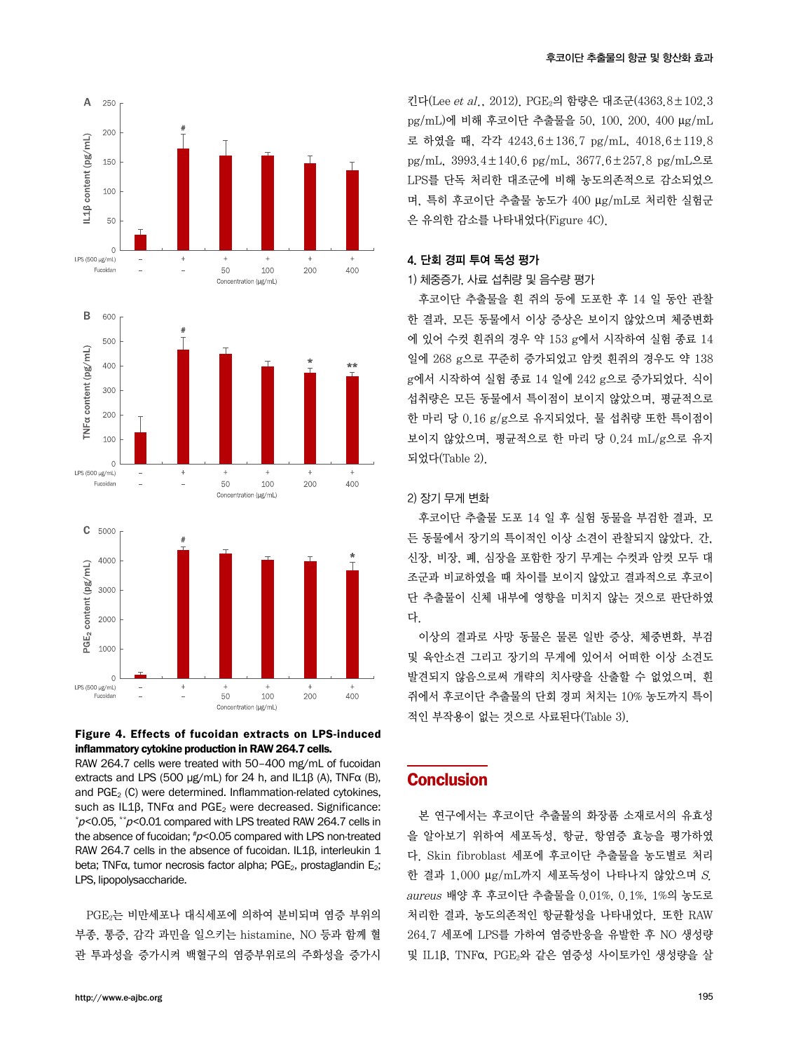



RAW 264.7 cells were treated with 50–400 mg/mL of fucoidan extracts and LPS (500 μg/mL) for 24 h, and IL1B (A), TNF $\alpha$  (B), and  $PGE<sub>2</sub>$  (C) were determined. Inflammation-related cytokines, such as IL1β, TNFα and PGE<sub>2</sub> were decreased. Significance:  $p$ <0.05, \*\* $p$ <0.01 compared with LPS treated RAW 264.7 cells in the absence of fucoidan; #p<0.05 compared with LPS non-treated RAW 264.7 cells in the absence of fucoidan. IL1β, interleukin 1 beta; TNF $\alpha$ , tumor necrosis factor alpha; PGE<sub>2</sub>, prostaglandin E<sub>2</sub>; LPS, lipopolysaccharide.

PGE2는 비만세포나 대식세포에 의하여 분비되며 염증 부위의 부종, 통증, 감각 과민을 일으키는 histamine, NO 등과 함께 혈 관 투과성을 증가시켜 백혈구의 염증부위로의 주화성을 증가시

킨다(Lee et al., 2012). PGE2의 함량은 대조군(4363.8±102.3 pg/mL)에 비해 후코이단 추출물을 50, 100, 200, 400 μg/mL 로 하였을 때, 각각 4243.6±136.7 pg/mL, 4018.6±119.8 pg/mL, 3993.4±140.6 pg/mL, 3677.6±257.8 pg/mL으로 LPS를 단독 처리한 대조군에 비해 농도의존적으로 감소되었으 며, 특히 후코이단 추출물 농도가 400 μg/mL로 처리한 실험군 은 유의한 감소를 나타내었다(Figure 4C).

### 4. 단회 경피 투여 독성 평가

#### 1) 체중증가, 사료 섭취량 및 음수량 평가

후코이단 추출물을 흰 쥐의 등에 도포한 후 14 일 동안 관찰 한 결과, 모든 동물에서 이상 증상은 보이지 않았으며 체중변화 에 있어 수컷 흰쥐의 경우 약 153 g에서 시작하여 실험 종료 14 일에 268 g으로 꾸준히 증가되었고 암컷 흰쥐의 경우도 약 138 g에서 시작하여 실험 종료 14 일에 242 g으로 증가되었다. 식이 섭취량은 모든 동물에서 특이점이 보이지 않았으며, 평균적으로 한 마리 당 0.16 g/g으로 유지되었다. 물 섭취량 또한 특이점이 보이지 않았으며, 평균적으로 한 마리 당 0.24 mL/g으로 유지 되었다(Table 2).

### 2) 장기 무게 변화

후코이단 추출물 도포 14 일 후 실험 동물을 부검한 결과, 모 든 동물에서 장기의 특이적인 이상 소견이 관찰되지 않았다. 간, 신장, 비장, 폐, 심장을 포함한 장기 무게는 수컷과 암컷 모두 대 조군과 비교하였을 때 차이를 보이지 않았고 결과적으로 후코이 단 추출물이 신체 내부에 영향을 미치지 않는 것으로 판단하였 다.

이상의 결과로 사망 동물은 물론 일반 증상, 체중변화, 부검 및 육안소견 그리고 장기의 무게에 있어서 어떠한 이상 소견도 발견되지 않음으로써 개략의 치사량을 산출할 수 없었으며, 흰 쥐에서 후코이단 추출물의 단회 경피 처치는 10% 농도까지 특이 적인 부작용이 없는 것으로 사료된다(Table 3).

# **Conclusion**

본 연구에서는 후코이단 추출물의 화장품 소재로서의 유효성 을 알아보기 위하여 세포독성, 항균, 항염증 효능을 평가하였 다. Skin fibroblast 세포에 후코이단 추출물을 농도별로 처리 한 결과 1,000  $\mu$ g/mL까지 세포독성이 나타나지 않았으며 S. aureus 배양 후 후코이단 추출물을 0.01%, 0.1%, 1%의 농도로 처리한 결과, 농도의존적인 항균활성을 나타내었다. 또한 RAW 264.7 세포에 LPS를 가하여 염증반응을 유발한 후 NO 생성량 및 IL1β, TNFα, PGE2와 같은 염증성 사이토카인 생성량을 살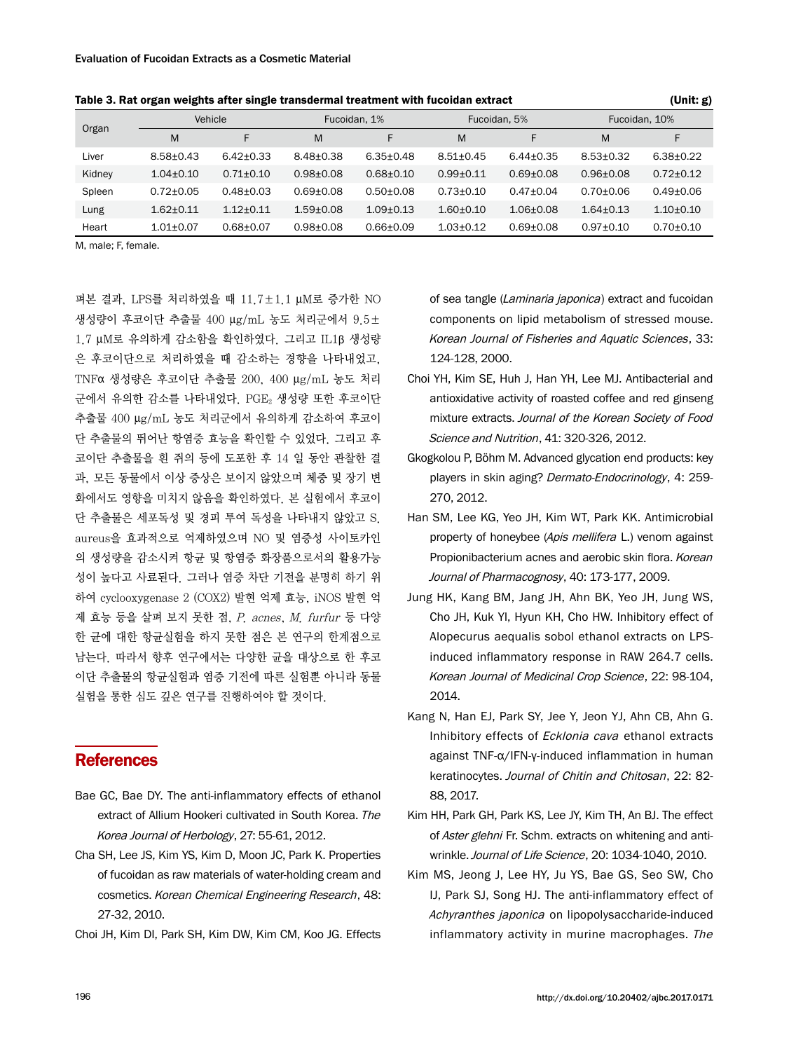| Organ  | Vehicle         |                 | Fucoidan, 1%  |                 | Fucoidan, 5%  |                 | Fucoidan, 10%   |                 |  |
|--------|-----------------|-----------------|---------------|-----------------|---------------|-----------------|-----------------|-----------------|--|
|        | M               | F               | M             | F               | M             | F               | M               | F               |  |
| Liver  | $8.58 + 0.43$   | $6.42 \pm 0.33$ | $8.48 + 0.38$ | $6.35 \pm 0.48$ | $8.51 + 0.45$ | $6.44 + 0.35$   | $8.53 + 0.32$   | $6.38 \pm 0.22$ |  |
| Kidney | $1.04 \pm 0.10$ | $0.71 \pm 0.10$ | $0.98 + 0.08$ | $0.68 + 0.10$   | $0.99 + 0.11$ | $0.69 + 0.08$   | $0.96 + 0.08$   | $0.72 + 0.12$   |  |
| Spleen | $0.72 + 0.05$   | $0.48 + 0.03$   | $0.69 + 0.08$ | $0.50 + 0.08$   | $0.73 + 0.10$ | $0.47 + 0.04$   | $0.70 + 0.06$   | $0.49 + 0.06$   |  |
| Lung   | $1.62 + 0.11$   | $1.12 + 0.11$   | $1.59 + 0.08$ | $1.09 + 0.13$   | $1.60 + 0.10$ | $1.06 \pm 0.08$ | $1.64 \pm 0.13$ | $1.10 + 0.10$   |  |
| Heart  | $1.01 + 0.07$   | $0.68 + 0.07$   | $0.98 + 0.08$ | $0.66 + 0.09$   | $1.03 + 0.12$ | $0.69 + 0.08$   | $0.97 + 0.10$   | $0.70 \pm 0.10$ |  |

Table 3. Rat organ weights after single transdermal treatment with fucoidan extract (Unit: g) (Unit: g)

M, male; F, female.

펴본 결과, LPS를 처리하였을 때 11.7±1.1 μM로 증가한 NO 생성량이 후코이단 추출물 400 μg/mL 농도 처리군에서 9.5± 1.7 μM로 유의하게 감소함을 확인하였다. 그리고 IL1β 생성량 은 후코이단으로 처리하였을 때 감소하는 경향을 나타내었고, TNFα 생성량은 후코이단 추출물 200, 400 μg/mL 농도 처리 군에서 유의한 감소를 나타내었다. PGE2 생성량 또한 후코이단 추출물 400 μg/mL 농도 처리군에서 유의하게 감소하여 후코이 단 추출물의 뛰어난 항염증 효능을 확인할 수 있었다. 그리고 후 코이단 추출물을 흰 쥐의 등에 도포한 후 14 일 동안 관찰한 결 과, 모든 동물에서 이상 증상은 보이지 않았으며 체중 및 장기 변 화에서도 영향을 미치지 않음을 확인하였다. 본 실험에서 후코이 단 추출물은 세포독성 및 경피 투여 독성을 나타내지 않았고 S. aureus을 효과적으로 억제하였으며 NO 및 염증성 사이토카인 의 생성량을 감소시켜 항균 및 항염증 화장품으로서의 활용가능 성이 높다고 사료된다. 그러나 염증 차단 기전을 분명히 하기 위 하여 cyclooxygenase 2 (COX2) 발현 억제 효능, iNOS 발현 억 제 효능 등을 살펴 보지 못한 점, P. acnes, M. furfur 등 다양 한 균에 대한 항균실험을 하지 못한 점은 본 연구의 한계점으로 남는다. 따라서 향후 연구에서는 다양한 균을 대상으로 한 후코 이단 추출물의 항균실험과 염증 기전에 따른 실험뿐 아니라 동물 실험을 통한 심도 깊은 연구를 진행하여야 할 것이다.

# **References**

- Bae GC, Bae DY. The anti-inflammatory effects of ethanol extract of Allium Hookeri cultivated in South Korea. The Korea Journal of Herbology, 27: 55-61, 2012.
- Cha SH, Lee JS, Kim YS, Kim D, Moon JC, Park K. Properties of fucoidan as raw materials of water-holding cream and cosmetics. Korean Chemical Engineering Research, 48: 27-32, 2010.
- Choi JH, Kim DI, Park SH, Kim DW, Kim CM, Koo JG. Effects

of sea tangle (Laminaria japonica) extract and fucoidan components on lipid metabolism of stressed mouse. Korean Journal of Fisheries and Aquatic Sciences, 33: 124-128, 2000.

- Choi YH, Kim SE, Huh J, Han YH, Lee MJ. Antibacterial and antioxidative activity of roasted coffee and red ginseng mixture extracts. Journal of the Korean Society of Food Science and Nutrition, 41: 320-326, 2012.
- Gkogkolou P, Böhm M. Advanced glycation end products: key players in skin aging? Dermato-Endocrinology, 4: 259-270, 2012.
- Han SM, Lee KG, Yeo JH, Kim WT, Park KK. Antimicrobial property of honeybee (Apis mellifera L.) venom against Propionibacterium acnes and aerobic skin flora. Korean Journal of Pharmacognosy, 40: 173-177, 2009.
- Jung HK, Kang BM, Jang JH, Ahn BK, Yeo JH, Jung WS, Cho JH, Kuk YI, Hyun KH, Cho HW. Inhibitory effect of Alopecurus aequalis sobol ethanol extracts on LPSinduced inflammatory response in RAW 264.7 cells. Korean Journal of Medicinal Crop Science, 22: 98-104, 2014.
- Kang N, Han EJ, Park SY, Jee Y, Jeon YJ, Ahn CB, Ahn G. Inhibitory effects of Ecklonia cava ethanol extracts against TNF-α/IFN-γ-induced inflammation in human keratinocytes. Journal of Chitin and Chitosan, 22: 82- 88, 2017.
- Kim HH, Park GH, Park KS, Lee JY, Kim TH, An BJ. The effect of Aster glehni Fr. Schm. extracts on whitening and antiwrinkle. Journal of Life Science, 20: 1034-1040, 2010.
- Kim MS, Jeong J, Lee HY, Ju YS, Bae GS, Seo SW, Cho IJ, Park SJ, Song HJ. The anti-inflammatory effect of Achyranthes japonica on lipopolysaccharide-induced inflammatory activity in murine macrophages. The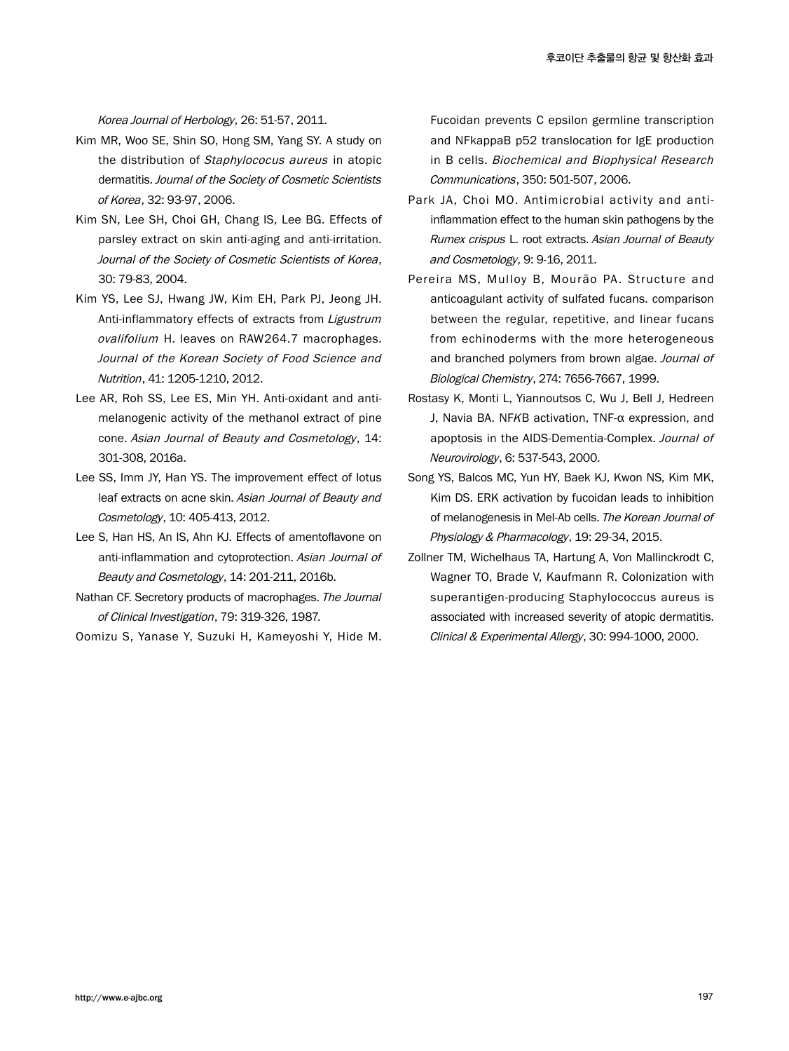Korea Journal of Herbology, 26: 51-57, 2011.

- Kim MR, Woo SE, Shin SO, Hong SM, Yang SY. A study on the distribution of Staphylococus aureus in atopic dermatitis. Journal of the Society of Cosmetic Scientists of Korea, 32: 93-97, 2006.
- Kim SN, Lee SH, Choi GH, Chang IS, Lee BG. Effects of parsley extract on skin anti-aging and anti-irritation. Journal of the Society of Cosmetic Scientists of Korea, 30: 79-83, 2004.
- Kim YS, Lee SJ, Hwang JW, Kim EH, Park PJ, Jeong JH. Anti-inflammatory effects of extracts from Ligustrum ovalifolium H. leaves on RAW264.7 macrophages. Journal of the Korean Society of Food Science and Nutrition, 41: 1205-1210, 2012.
- Lee AR, Roh SS, Lee ES, Min YH. Anti-oxidant and antimelanogenic activity of the methanol extract of pine cone. Asian Journal of Beauty and Cosmetology, 14: 301-308, 2016a.
- Lee SS, Imm JY, Han YS. The improvement effect of lotus leaf extracts on acne skin. Asian Journal of Beauty and Cosmetology, 10: 405-413, 2012.
- Lee S, Han HS, An IS, Ahn KJ. Effects of amentoflavone on anti-inflammation and cytoprotection. Asian Journal of Beauty and Cosmetology, 14: 201-211, 2016b.
- Nathan CF. Secretory products of macrophages. The Journal of Clinical Investigation, 79: 319-326, 1987.
- Oomizu S, Yanase Y, Suzuki H, Kameyoshi Y, Hide M.

Fucoidan prevents C epsilon germline transcription and NFkappaB p52 translocation for IgE production in B cells. Biochemical and Biophysical Research Communications, 350: 501-507, 2006.

- Park JA, Choi MO. Antimicrobial activity and antiinflammation effect to the human skin pathogens by the Rumex crispus L. root extracts. Asian Journal of Beauty and Cosmetology, 9: 9-16, 2011.
- Pereira MS, Mulloy B, Mourão PA. Structure and anticoagulant activity of sulfated fucans. comparison between the regular, repetitive, and linear fucans from echinoderms with the more heterogeneous and branched polymers from brown algae. Journal of Biological Chemistry, 274: 7656-7667, 1999.
- Rostasy K, Monti L, Yiannoutsos C, Wu J, Bell J, Hedreen J, Navia BA. NFKB activation, TNF-α expression, and apoptosis in the AIDS-Dementia-Complex. Journal of Neurovirology, 6: 537-543, 2000.
- Song YS, Balcos MC, Yun HY, Baek KJ, Kwon NS, Kim MK, Kim DS. ERK activation by fucoidan leads to inhibition of melanogenesis in Mel-Ab cells. The Korean Journal of Physiology & Pharmacology, 19: 29-34, 2015.
- Zollner TM, Wichelhaus TA, Hartung A, Von Mallinckrodt C, Wagner TO, Brade V, Kaufmann R. Colonization with superantigen-producing Staphylococcus aureus is associated with increased severity of atopic dermatitis. Clinical & Experimental Allergy, 30: 994-1000, 2000.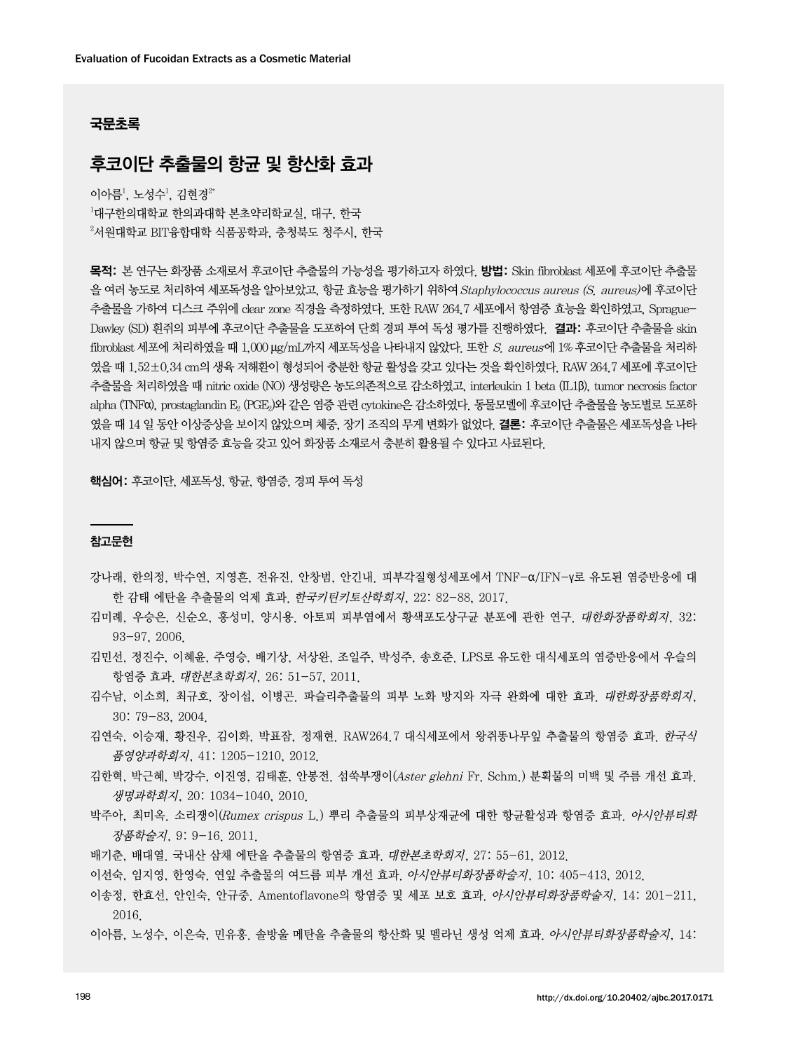# 국문초록

# 후코이단 추출물의 항균 및 항산화 효과

이아름 $^1$ , 노성수 $^1$ , 김현경 $^{2\star}$  $^{\rm 1}$ 대구한의대학교 한의과대학 본초약리학교실, 대구, 한국  $^{2}$ 서원대학교 BIT융합대학 식품공학과, 충청북도 청주시, 한국

목적: 본 연구는 화장품 소재로서 후코이단 추출물의 가능성을 평가하고자 하였다. 방법: Skin fibroblast 세포에 후코이단 추출물 을 여러 농도로 처리하여 세포독성을 알아보았고, 항균 효능을 평가하기 위하여 Staphylococcus aureus (S. aureus)에 후코이단 추출물을 가하여 디스크 주위에 clear zone 직경을 측정하였다. 또한 RAW 264.7 세포에서 항염증 효능을 확인하였고, Sprague-Dawley (SD) 흰쥐의 피부에 후코이단 추출물을 도포하여 단회 경피 투여 독성 평가를 진행하였다. 결과: 후코이단 추출물을 skin fibroblast 세포에 처리하였을 때 1,000  $\mu$ g/mL까지 세포독성을 나타내지 않았다. 또한 S. aureus에 1% 후코이단 추출물을 처리하 였을 때 1.52±0.34 cm의 생육 저해환이 형성되어 충분한 항균 활성을 갖고 있다는 것을 확인하였다. RAW 264.7 세포에 후코이단 추출물을 처리하였을 때 nitric oxide (NO) 생성량은 농도의존적으로 감소하였고, interleukin 1 beta (IL1β), tumor necrosis factor alpha (TNFα), prostaglandin E2 (PGE2)와 같은 염증 관련 cytokine은 감소하였다. 동물모델에 후코이단 추출물을 농도별로 도포하 였을 때 14 일 동안 이상증상을 보이지 않았으며 체중, 장기 조직의 무게 변화가 없었다. 결론: 후코이단 추출물은 세포독성을 나타 내지 않으며 항균 및 항염증 효능을 갖고 있어 화장품 소재로서 충분히 활용될 수 있다고 사료된다.

핵심어: 후코이단, 세포독성, 항균, 항염증, 경피 투여 독성

### 참고문헌

- 강나래, 한의정, 박수연, 지영흔, 전유진, 안창범, 안긴내. 피부각질형성세포에서 TNF-α/IFN-γ로 유도된 염증반응에 대 한 감태 에탄올 추출물의 억제 효과. 한국키틴키토산학회지, 22: 82-88, 2017.
- 김미례, 우승은, 신순오, 홍성미, 양시용. 아토피 피부염에서 황색포도상구균 분포에 관한 연구. 대한화장품학회지, 32: 93-97, 2006.
- 김민선, 정진수, 이혜윤, 주영승, 배기상, 서상완, 조일주, 박성주, 송호준. LPS로 유도한 대식세포의 염증반응에서 우슬의 항염증 효과. 대한본초학회지, 26: 51-57, 2011.
- 김수남, 이소희, 최규호, 장이섭, 이병곤. 파슬리추출물의 피부 노화 방지와 자극 완화에 대한 효과. 대한화장품학회지, 30: 79-83, 2004.
- 김연숙, 이승재, 황진우, 김이화, 박표잠, 정재현. RAW264.7 대식세포에서 왕쥐똥나무잎 추출물의 항염증 효과. 한국식 품영양과학회지, 41: 1205-1210, 2012.
- 김한혁, 박근혜, 박강수, 이진영, 김태훈, 안봉전. 섬쑥부쟁이(Aster glehni Fr. Schm.) 분획물의 미백 및 주름 개선 효과. 생명과학회지, 20: 1034-1040, 2010.
- 박주아, 최미옥. 소리쟁이(Rumex crispus L.) 뿌리 추출물의 피부상재균에 대한 항균활성과 항염증 효과. *아시안뷰티화* 장품학술지, 9: 9-16. 2011.
- 배기춘, 배대열. 국내산 삼채 에탄올 추출물의 항염증 효과. 대한본초학회지, 27: 55-61, 2012.
- 이선숙, 임지영, 한영숙. 연잎 추출물의 여드름 피부 개선 효과. 아시안뷰티화장품학술지, 10: 405-413, 2012.
- 이송정, 한효선, 안인숙, 안규중. Amentoflavone의 항염증 및 세포 보호 효과. *아시안뷰티화장품학술지*, 14: 201-211, 2016.
- 이아름, 노성수, 이은숙, 민유홍. 솔방울 메탄올 추출물의 항산화 및 멜라닌 생성 억제 효과. *아시안뷰티화장품학술지*, 14: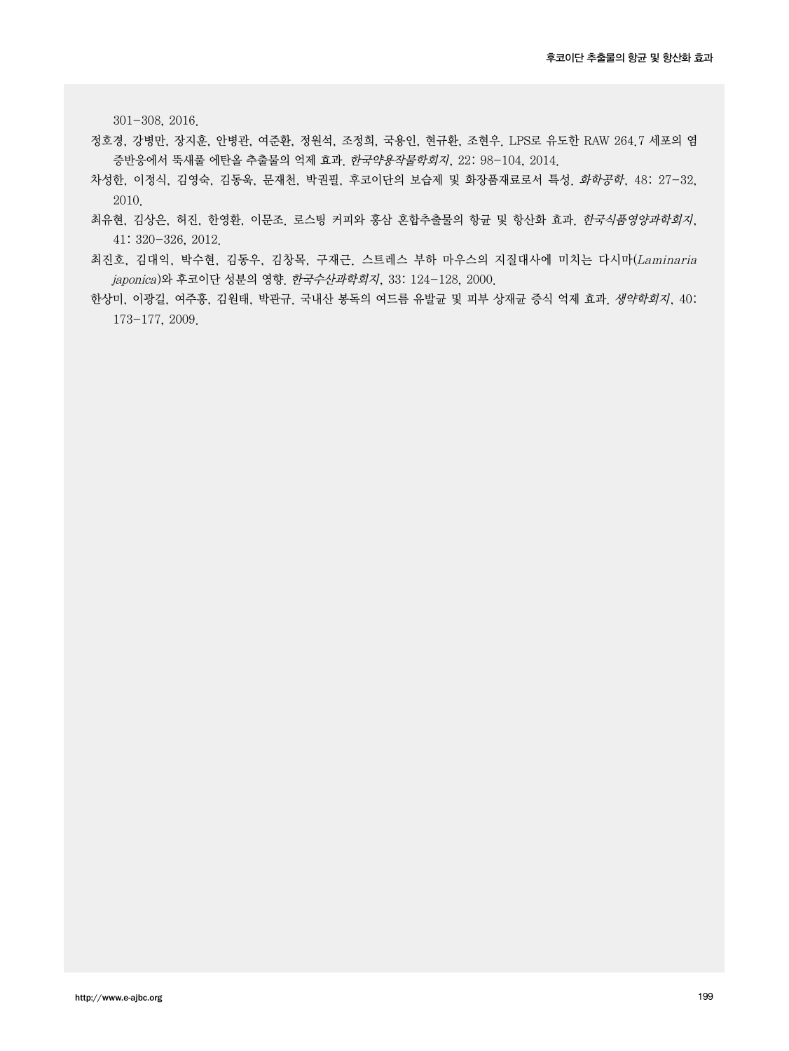301-308, 2016.

- 정호경, 강병만, 장지훈, 안병관, 여준환, 정원석, 조정희, 국용인, 현규환, 조현우. LPS로 유도한 RAW 264.7 세포의 염 증반응에서 뚝새풀 에탄올 추출물의 억제 효과. 한국약용작물학회지, 22: 98-104, 2014.
- 차성한, 이정식, 김영숙, 김동욱, 문재천, 박권필, 후코이단의 보습제 및 화장품재료로서 특성. 화학공학, 48: 27-32, 2010.
- 최유현, 김상은, 허진, 한영환, 이문조. 로스팅 커피와 홍삼 혼합추출물의 항균 및 항산화 효과. 한국식품영양과학회지, 41: 320-326, 2012.
- 최진호, 김대익, 박수현, 김동우, 김창목, 구재근. 스트레스 부하 마우스의 지질대사에 미치는 다시마(Laminaria japonica)와 후코이단 성분의 영향. *한국수산과학회지*, 33: 124-128, 2000.
- 한상미, 이광길, 여주홍, 김원태, 박관규. 국내산 봉독의 여드름 유발균 및 피부 상재균 증식 억제 효과. 생약학회지, 40: 173-177, 2009.